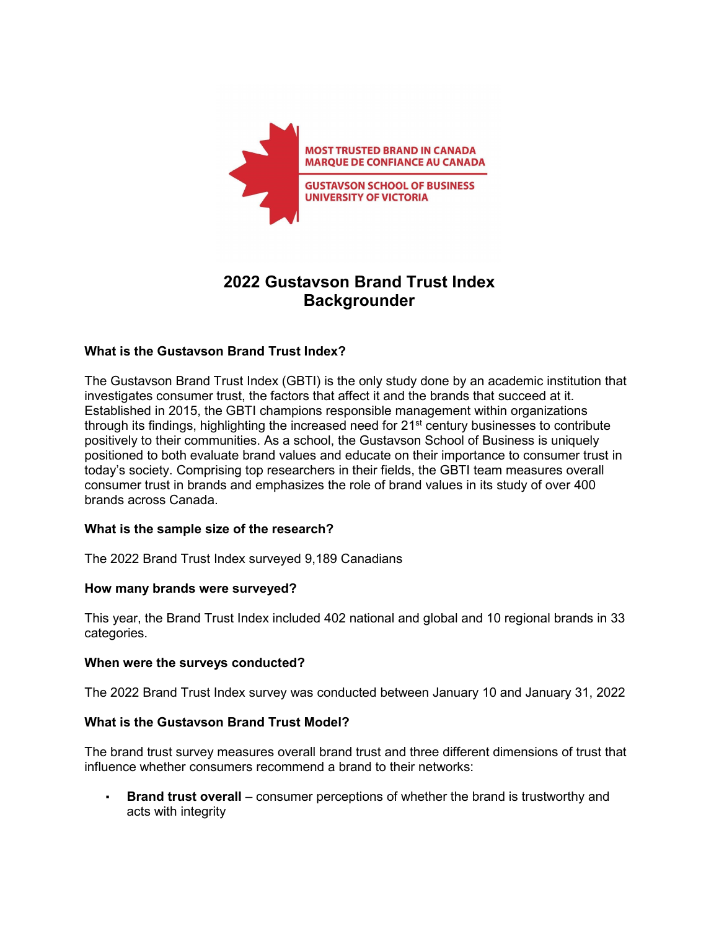

# **2022 Gustavson Brand Trust Index Backgrounder**

# **What is the Gustavson Brand Trust Index?**

The Gustavson Brand Trust Index (GBTI) is the only study done by an academic institution that investigates consumer trust, the factors that affect it and the brands that succeed at it. Established in 2015, the GBTI champions responsible management within organizations through its findings, highlighting the increased need for 21<sup>st</sup> century businesses to contribute positively to their communities. As a school, the Gustavson School of Business is uniquely positioned to both evaluate brand values and educate on their importance to consumer trust in today's society. Comprising top researchers in their fields, the GBTI team measures overall consumer trust in brands and emphasizes the role of brand values in its study of over 400 brands across Canada.

# **What is the sample size of the research?**

The 2022 Brand Trust Index surveyed 9,189 Canadians

#### **How many brands were surveyed?**

This year, the Brand Trust Index included 402 national and global and 10 regional brands in 33 categories.

#### **When were the surveys conducted?**

The 2022 Brand Trust Index survey was conducted between January 10 and January 31, 2022

# **What is the Gustavson Brand Trust Model?**

The brand trust survey measures overall brand trust and three different dimensions of trust that influence whether consumers recommend a brand to their networks:

**Brand trust overall** – consumer perceptions of whether the brand is trustworthy and acts with integrity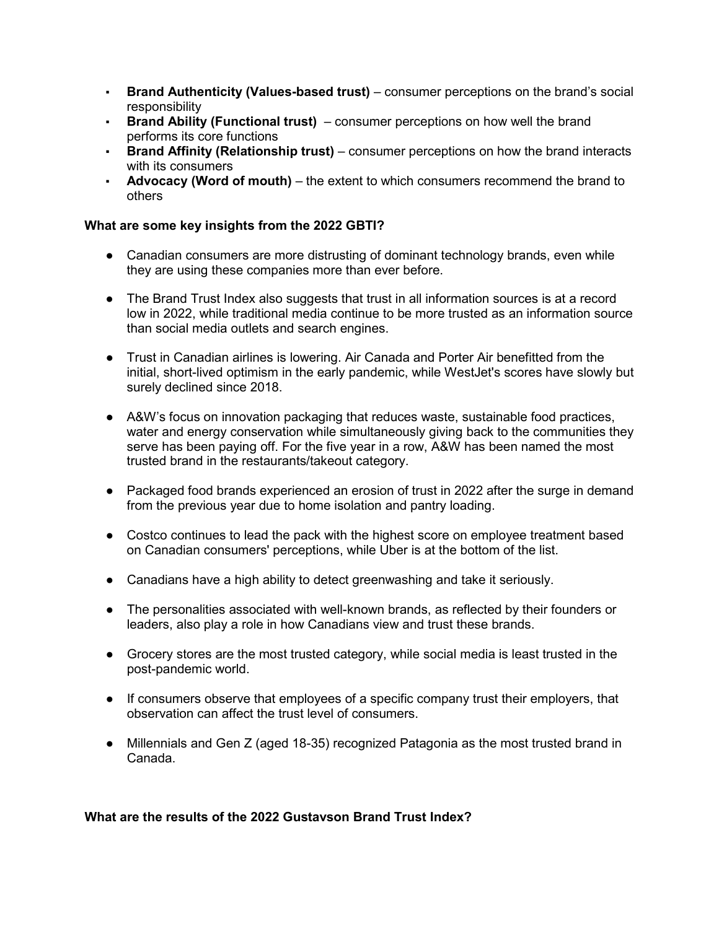- **Brand Authenticity (Values-based trust)**  consumer perceptions on the brand's social responsibility
- **Brand Ability (Functional trust)**  consumer perceptions on how well the brand performs its core functions
- **Brand Affinity (Relationship trust)**  consumer perceptions on how the brand interacts with its consumers
- **Advocacy (Word of mouth)**  the extent to which consumers recommend the brand to others

# **What are some key insights from the 2022 GBTI?**

- Canadian consumers are more distrusting of dominant technology brands, even while they are using these companies more than ever before.
- The Brand Trust Index also suggests that trust in all information sources is at a record low in 2022, while traditional media continue to be more trusted as an information source than social media outlets and search engines.
- Trust in Canadian airlines is lowering. Air Canada and Porter Air benefitted from the initial, short-lived optimism in the early pandemic, while WestJet's scores have slowly but surely declined since 2018.
- A&W's focus on innovation packaging that reduces waste, sustainable food practices, water and energy conservation while simultaneously giving back to the communities they serve has been paying off. For the five year in a row, A&W has been named the most trusted brand in the restaurants/takeout category.
- Packaged food brands experienced an erosion of trust in 2022 after the surge in demand from the previous year due to home isolation and pantry loading.
- Costco continues to lead the pack with the highest score on employee treatment based on Canadian consumers' perceptions, while Uber is at the bottom of the list.
- Canadians have a high ability to detect greenwashing and take it seriously.
- The personalities associated with well-known brands, as reflected by their founders or leaders, also play a role in how Canadians view and trust these brands.
- Grocery stores are the most trusted category, while social media is least trusted in the post-pandemic world.
- If consumers observe that employees of a specific company trust their employers, that observation can affect the trust level of consumers.
- Millennials and Gen Z (aged 18-35) recognized Patagonia as the most trusted brand in Canada.

# **What are the results of the 2022 Gustavson Brand Trust Index?**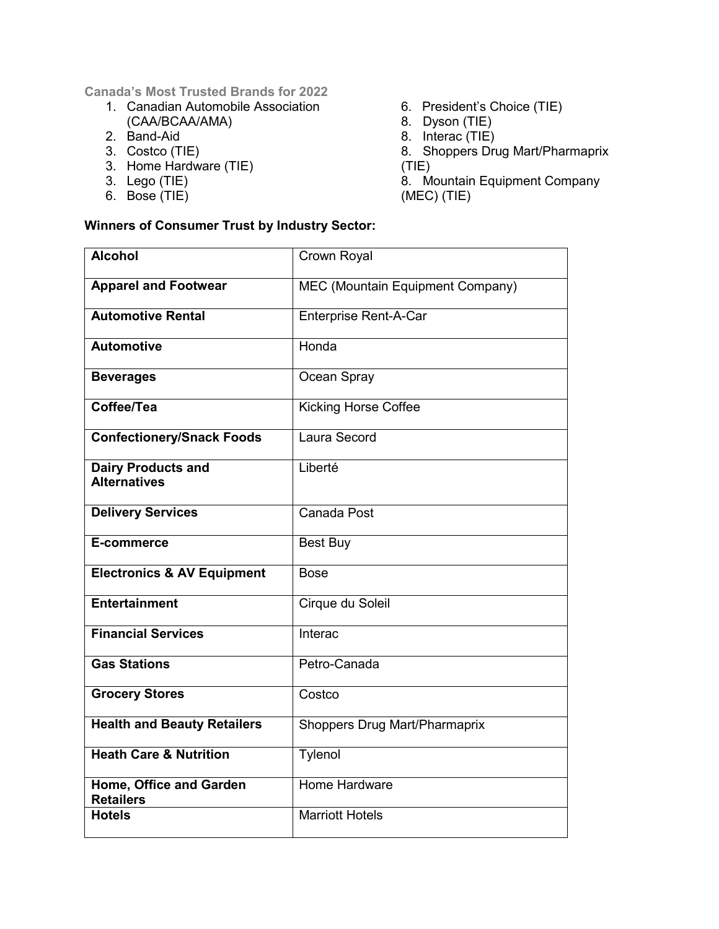**Canada's Most Trusted Brands for 2022**

- 1. Canadian Automobile Association (CAA/BCAA/AMA)
- 2. Band-Aid
- 3. Costco (TIE)
- 3. Home Hardware (TIE)
- 3. Lego (TIE)
- 6. Bose (TIE)
- 6. President's Choice (TIE)
- 8. Dyson (TIE)
- 8. Interac (TIE)
- 8. Shoppers Drug Mart/Pharmaprix (TIE)

8. Mountain Equipment Company (MEC) (TIE)

# **Winners of Consumer Trust by Industry Sector:**

| <b>Alcohol</b>                                   | Crown Royal                          |
|--------------------------------------------------|--------------------------------------|
| <b>Apparel and Footwear</b>                      | MEC (Mountain Equipment Company)     |
| <b>Automotive Rental</b>                         | <b>Enterprise Rent-A-Car</b>         |
| <b>Automotive</b>                                | Honda                                |
| <b>Beverages</b>                                 | Ocean Spray                          |
| Coffee/Tea                                       | <b>Kicking Horse Coffee</b>          |
| <b>Confectionery/Snack Foods</b>                 | Laura Secord                         |
| <b>Dairy Products and</b><br><b>Alternatives</b> | Liberté                              |
| <b>Delivery Services</b>                         | Canada Post                          |
| E-commerce                                       | <b>Best Buy</b>                      |
| <b>Electronics &amp; AV Equipment</b>            | <b>Bose</b>                          |
| <b>Entertainment</b>                             | Cirque du Soleil                     |
| <b>Financial Services</b>                        | Interac                              |
| <b>Gas Stations</b>                              | Petro-Canada                         |
| <b>Grocery Stores</b>                            | Costco                               |
| <b>Health and Beauty Retailers</b>               | <b>Shoppers Drug Mart/Pharmaprix</b> |
| <b>Heath Care &amp; Nutrition</b>                | Tylenol                              |
| Home, Office and Garden<br><b>Retailers</b>      | <b>Home Hardware</b>                 |
| <b>Hotels</b>                                    | <b>Marriott Hotels</b>               |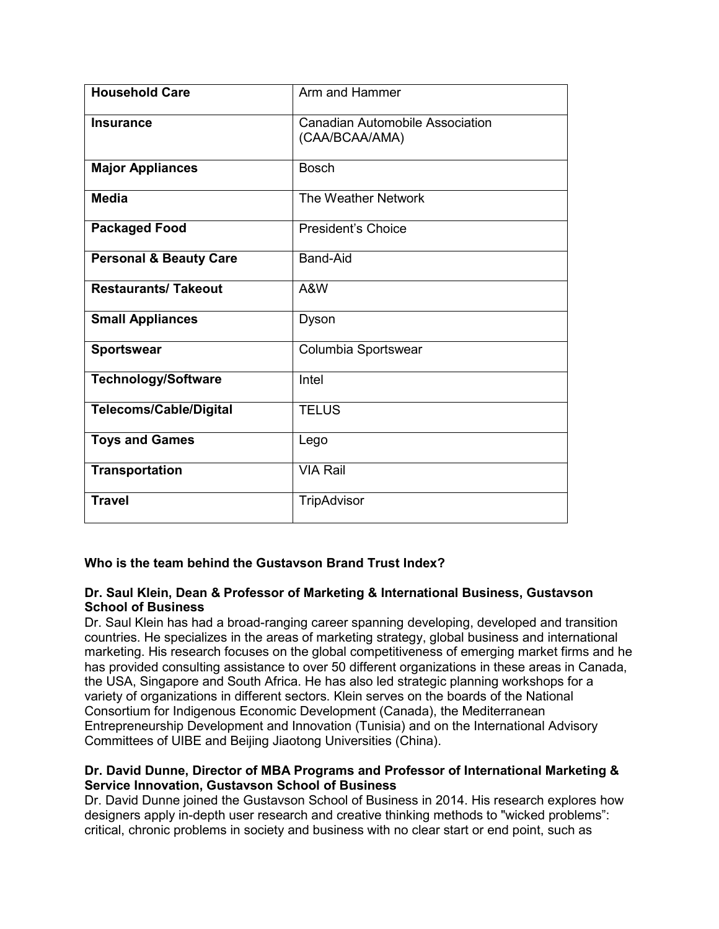| <b>Household Care</b>             | Arm and Hammer                                    |
|-----------------------------------|---------------------------------------------------|
| <b>Insurance</b>                  | Canadian Automobile Association<br>(CAA/BCAA/AMA) |
| <b>Major Appliances</b>           | <b>Bosch</b>                                      |
| <b>Media</b>                      | The Weather Network                               |
| <b>Packaged Food</b>              | <b>President's Choice</b>                         |
| <b>Personal &amp; Beauty Care</b> | Band-Aid                                          |
| <b>Restaurants/Takeout</b>        | A&W                                               |
| <b>Small Appliances</b>           | Dyson                                             |
| <b>Sportswear</b>                 | Columbia Sportswear                               |
| <b>Technology/Software</b>        | Intel                                             |
| <b>Telecoms/Cable/Digital</b>     | <b>TELUS</b>                                      |
| <b>Toys and Games</b>             | Lego                                              |
| <b>Transportation</b>             | <b>VIA Rail</b>                                   |
| <b>Travel</b>                     | <b>TripAdvisor</b>                                |

# **Who is the team behind the Gustavson Brand Trust Index?**

## **Dr. Saul Klein, Dean & Professor of Marketing & International Business, Gustavson School of Business**

Dr. Saul Klein has had a broad-ranging career spanning developing, developed and transition countries. He specializes in the areas of marketing strategy, global business and international marketing. His research focuses on the global competitiveness of emerging market firms and he has provided consulting assistance to over 50 different organizations in these areas in Canada, the USA, Singapore and South Africa. He has also led strategic planning workshops for a variety of organizations in different sectors. Klein serves on the boards of the National Consortium for Indigenous Economic Development (Canada), the Mediterranean Entrepreneurship Development and Innovation (Tunisia) and on the International Advisory Committees of UIBE and Beijing Jiaotong Universities (China).

## **Dr. David Dunne, Director of MBA Programs and Professor of International Marketing & Service Innovation, Gustavson School of Business**

Dr. David Dunne joined the Gustavson School of Business in 2014. His research explores how designers apply in-depth user research and creative thinking methods to "wicked problems": critical, chronic problems in society and business with no clear start or end point, such as